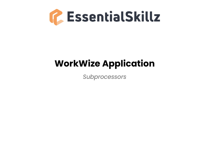

## **WorkWize Application**

*Subprocessors*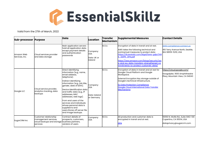

Valid from the 27th of March, 2022

| <b>Sub-processor Purpose</b> |                                                                                                           | Data                                                                                                                                                                                                                                                                                                                                                                                                                                                   | Location                                              | <b>Transfer</b><br><b>Mechanism</b> | <b>Supplemental Measures</b>                                                                                                                                                                                                                                                                                                    | <b>Contact Details</b>                                                                             |
|------------------------------|-----------------------------------------------------------------------------------------------------------|--------------------------------------------------------------------------------------------------------------------------------------------------------------------------------------------------------------------------------------------------------------------------------------------------------------------------------------------------------------------------------------------------------------------------------------------------------|-------------------------------------------------------|-------------------------------------|---------------------------------------------------------------------------------------------------------------------------------------------------------------------------------------------------------------------------------------------------------------------------------------------------------------------------------|----------------------------------------------------------------------------------------------------|
| Amazon Web<br>Services, Inc. | Cloud services provider<br>and data storage                                                               | Main application servers<br>hold all application data<br>except payment details<br>land authentication<br>passwords                                                                                                                                                                                                                                                                                                                                    | Company:<br>USA<br>Data: UK or<br>lireland            | <b>SCCs</b>                         | Encryption of data in transit and at rest.<br>AWS takes the following technical and<br>contractual measures to protect data:<br>https://dl.awstatic.com/legal/laws-gdpr/AW<br><b>GDPR DPA.pdf</b><br>https://aws.amazon.com/bloas/security/aw<br>s-and-eu-data-transfers-strengthened-co<br>mmitments-to-protect-customer-data/ | <b>AWS Compliance contact us</b><br>410 Terry Avenue North, Seattle,<br>WA 98109-5210, USA         |
| Google LLC                   | Cloud service provider,<br>analytics tracking, data<br>backups                                            | Direct identifying<br>information (e.g., name,<br>lemail address,<br>telephone).<br>Indirect identifying<br>information (e.g., job title,<br>gender, date of birth).<br>Device identification data<br>and traffic data (e.g., IP<br>addresses, MAC<br>addresses, web logs).<br><b>IFrom end users of the</b><br><b>I</b> services and individuals<br>whose personal data is<br>supplied to end<br>lusers. Stores off server file<br>and image backups. | Company:<br><b>USA</b><br>Data: Ireland<br>or Germany | <b>SCCs</b>                         | Encryption of data in transit and at rest for<br>Google Cloud Platform and Google<br>Workspace.<br>External Encryption Key storage outside of<br>Google's technical infrastructure.<br><b>EU Data Protection Compliance:</b><br><b>Google Cloud International Data Transfer</b><br><b>Mechanisms</b>                            | <u>https://cloud.google.com/</u><br>Googolplex. 1600 Amphitheatre<br>Pkwy, Mountain View, CA 94043 |
| SugarCRM Inc                 | Customer relationship<br>management services,<br>cloud backups and storage business partners,<br>services | Contract details of<br>prospects, customers,<br>vendors of users                                                                                                                                                                                                                                                                                                                                                                                       | Company:<br><b>USA</b>                                | <b>SCCs</b>                         | All production and customer data is<br>encrypted in transit and at rest.<br><b>DPA</b>                                                                                                                                                                                                                                          | 10050 N. Wolfe Rd., Suite SW2-130<br>Cupertino, CA 95014, USA<br>dataprivacy@sugarcrm.com          |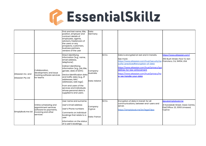## G. EssentialSkillz

|                                         |                                                                                                            | First and last name, title,<br>position, employer and<br><b>c</b> ontract details of<br>employees, agents,<br>advisors, freelancers of<br>the users or any<br>prospects, customers,<br>business partners,<br>vendors of the user                                                                                                                                                     | Data:<br>Germany                       |             |                                                                                                                                                                                                                                                                                                                                     |                                                                                                       |
|-----------------------------------------|------------------------------------------------------------------------------------------------------------|--------------------------------------------------------------------------------------------------------------------------------------------------------------------------------------------------------------------------------------------------------------------------------------------------------------------------------------------------------------------------------------|----------------------------------------|-------------|-------------------------------------------------------------------------------------------------------------------------------------------------------------------------------------------------------------------------------------------------------------------------------------------------------------------------------------|-------------------------------------------------------------------------------------------------------|
| Atlassian Inc. and<br>Atlassian Pty Ltd | Collaboration,<br>development, and issue<br>tracking software services<br>for teams                        | Direct identifying<br>information (e.g., name,<br>lemail address,<br>telephone).<br>Indirect identifying<br>information (e.g., job title,<br>gender, date of birth).<br>Device identification data<br>and traffic data (e.g., IP<br>addresses, MAC<br>addresses, web logs).<br>From end users of the<br>services and individuals<br>whose personal data is<br>supplied to end users. | Company:<br>Australia<br>Data: Ireland | <b>SCCs</b> | Data is encrypted at rest and in transits.<br>See more:<br>https://www.atlassian.com/trust/security/se Francisco, CA, 94104, USA<br>curity-practices#encryption-of-data<br>https://www.atlassian.com/trust/privacy/qui<br>delines-for-law-enforcement<br>https://www.atlassian.com/trust/privacy/ho<br><u>w-we-handle-your-data</u> | https://www.atlassian.com/<br>350 Bush Street, Floor 13, San                                          |
| SimplyBook.me Ltd                       | Online scheduling and<br>appointment services<br>software for payments,<br>invoicing and other<br>services | User name and surname<br>lUser's Email address<br>User's Phone numbers<br>Comments on individual<br>bookings that relate to a<br>luser<br>Information on the status<br>of a user's bookings,                                                                                                                                                                                         | Company:<br>Cyprus<br>Data: France     | <b>SCCs</b> | Encryption of data in transit: for all<br>communications, between end-users and<br>server.<br>https://simplybook.me/en/legal/dpa                                                                                                                                                                                                    | dpo@simplybook.me<br>21 Karaiskaki Street, Oasis Centre,<br>Flat/Office: 23, 3093 Limassol,<br>Cyprus |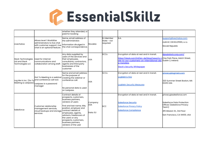## G. EssentialSkillz

| Livechatoo                                              | Allows level 1 WorkWize<br>administrators to live chat<br>with customer support. Live<br>chat is an optional feature.                     | whether they attended, or<br>paid for booking<br>Name, email address of<br>the administrator.<br>Information divulged in<br>the chat correspondence.                                                                                                                                        | Slovakia                     | <b>EU Member</b><br>State - not<br>required. | N.A.                                                                                                                                                                                                                                        | support@livechatoo.com<br>nolimit   DEVELOPERS, s.r.o.<br>Slovak Republic                                                                                  |
|---------------------------------------------------------|-------------------------------------------------------------------------------------------------------------------------------------------|---------------------------------------------------------------------------------------------------------------------------------------------------------------------------------------------------------------------------------------------------------------------------------------------|------------------------------|----------------------------------------------|---------------------------------------------------------------------------------------------------------------------------------------------------------------------------------------------------------------------------------------------|------------------------------------------------------------------------------------------------------------------------------------------------------------|
| Slack Technologies<br>Ltd and Slack<br>Technologies LLC | Used for internal<br><b>I</b> communications and<br>collaboration among staff.                                                            | Any data supplied by<br>users of the services and<br>their employees,<br>consultants, contractors,<br>agents and third party<br>businesses of the<br>Icustomer                                                                                                                              | USA                          | <b>SCCs</b>                                  | Encryption of data at rest and in transit.<br>https://slack.com/intl/en-de/blog/news/a-n One Park Place, Hatch Street,<br>ote-to-our-customers-on-international-dat Dublin 2, Ireland.<br>a-transfers<br><b>Slack's Security Whitepaper</b> | dpa@slack.corp.com/                                                                                                                                        |
| Log Me In Inc. (Go To                                   | Got To Meeting is a webinar creating the webinar or<br>and conference call tool.<br>Meeting & Lastpass) Lastpass is a password<br>manager | Name and email address<br>for the purpose of<br><b>l</b> conference call.<br>No personal data is used<br>on Lastpass.                                                                                                                                                                       | USA                          | <b>SCCs</b>                                  | Encryption of data at rest and in transit.<br><b>LogMeIn's FAQ</b><br><b>LogMeIn Security Measures</b>                                                                                                                                      | privacy@loamein.com<br>320 Summer Street Boston, MA<br>02210 USA                                                                                           |
| Salesforce                                              | Customer relationship<br>management services,<br>cloud backups and storage contract details of<br><b>I</b> services                       | Contract details of<br>prospects, customers,<br>business partners,<br>vendors of users<br>First and last name, title,<br>position, employer and<br>employees, agents,<br>advisors, freelancers of<br>the users or any<br>prospects, customers,<br>business partners,<br>vendors of the user | Company:<br>USA<br>lData: EU | <b>I</b> SCC                                 | Encryption of data at rest and in transit.<br><b>Salesforce Security</b><br><b>Salesforce Privacy Policy</b><br><b>Salesforce Compliance</b>                                                                                                | privacy@salesforce.com<br>Salesforce Data Protection<br>Officer (Salesforce Privacy<br>Team)<br>415 Mission St., 3rd Floor<br>San Francisco, CA 94105, USA |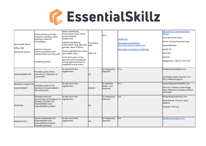## G. EssentialSkillz

| Micrososft Azure<br>Office 365<br>Microsoft Teams | Cloud service provider,<br>analytics tracking, data<br>backups, internal<br>messaging.<br>Used for internal<br><b>l</b> communications and<br>collaboration among staff.<br>Ticketing system | Direct identifying<br>information (e.g., name,<br>email address,<br>telephone).<br>Indirect identifying<br>information (e.g., job title,<br>gender, date of birth).<br>Device identification data<br>land traffic data.<br><b>I</b> From end users of the<br>services and individuals<br>whose personal data is<br>supplied to end users. | Company:<br><b>USA</b><br>Data: UK | <b>SCC</b>                           | <b>GDPR FAQ</b><br>Microsoft Compliance<br><b>Microsoft Privacy Statement</b><br><b>Microsoft Compliance Offerings</b> | <b>Microsoft EU Data Protection</b><br><b>Officer</b><br>One Microsoft Place<br>South County Business Park<br>Leopardstown<br>Dublin 18<br>D18 P521<br>Ireland<br>Telephone: +353 (1) 706-3117 |
|---------------------------------------------------|----------------------------------------------------------------------------------------------------------------------------------------------------------------------------------------------|-------------------------------------------------------------------------------------------------------------------------------------------------------------------------------------------------------------------------------------------------------------------------------------------------------------------------------------------|------------------------------------|--------------------------------------|------------------------------------------------------------------------------------------------------------------------|------------------------------------------------------------------------------------------------------------------------------------------------------------------------------------------------|
| Essentialskillz Ltd*                              | Provides parts of the<br>Services to Riskwize Ltd<br>customers.                                                                                                                              | As set out in the<br>Agreement.                                                                                                                                                                                                                                                                                                           | <b>UK</b>                          | <b>EU Adequacy</b><br>Decision       | N. A.                                                                                                                  | info@essentialskillz.com<br>2 George Street, Chester, CHI<br>3EQ, United Kingdom                                                                                                               |
| RiskWize Limited T/A<br>EssentialSkillz*          | Provides parts of the<br>Services to Essentialskillz<br>Ltd customers.                                                                                                                       | As set out in the<br>Agreement.                                                                                                                                                                                                                                                                                                           | Ireland                            | EU Member<br>State - not<br>required | N.A.                                                                                                                   | support@essentialskillz.com<br>The Hub, Galway Technology<br>Park, Parkmore, Galway Ireland,<br><b>H91K2WP</b>                                                                                 |
| Worknest                                          | Provides services,<br>technology and support to<br>RiskWize Limited T/A<br><b>EssentialSkillz and</b><br>EssentialSkillz Limited.                                                            | As set out in the<br>Agreement.                                                                                                                                                                                                                                                                                                           | <b>UK</b>                          | <b>EU Adequacy</b><br>Decision       | N.A.                                                                                                                   | enquiries@worknest.com<br>Woodhouse, Church Lane,<br>Aldford<br>Chester CH3 6JD                                                                                                                |
| Marlowe PLC*                                      | Owner of Riskwize T/A<br>lEssentialSkillz and<br><b>l</b> EssentiaISkillz limited.<br>Provides services,                                                                                     | As set out in the<br>Agreement.                                                                                                                                                                                                                                                                                                           | luк                                | <b>EU Adequacy</b><br>Decision       | N.A                                                                                                                    | info@marloweplc.com                                                                                                                                                                            |